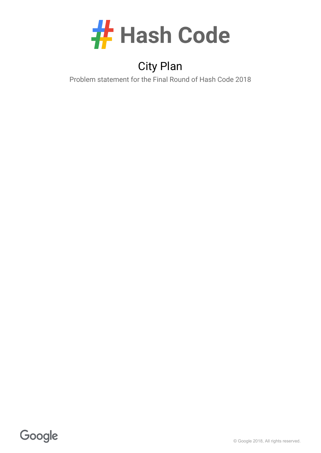

# City Plan

Problem statement for the Final Round of Hash Code 2018

Google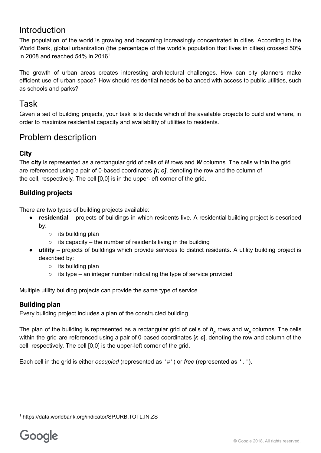## Introduction

The population of the world is growing and becoming increasingly concentrated in cities. According to the World Bank, global urbanization (the percentage of the world's population that lives in cities) crossed 50% in 2008 and reached 54% in 2016<sup>1</sup>.

The growth of urban areas creates interesting architectural challenges. How can city planners make efficient use of urban space? How should residential needs be balanced with access to public utilities, such as schools and parks?

## Task

Given a set of building projects, your task is to decide which of the available projects to build and where, in order to maximize residential capacity and availability of utilities to residents.

## Problem description

### **City**

The **city** is represented as a rectangular grid of cells of *H* rows and *W* columns. The cells within the grid are referenced using a pair of 0-based coordinates *[r, c]*, denoting the row and the column of the cell, respectively. The cell [0,0] is in the upper-left corner of the grid.

### **Building projects**

There are two types of building projects available:

- **residential** projects of buildings in which residents live. A residential building project is described by:
	- its building plan
	- $\circ$  its capacity the number of residents living in the building
- **utility** projects of buildings which provide services to district residents. A utility building project is described by:
	- its building plan
	- $\circ$  its type an integer number indicating the type of service provided

Multiple utility building projects can provide the same type of service.

### **Building plan**

Every building project includes a plan of the constructed building.

The plan of the building is represented as a rectangular grid of cells of *h<sup>p</sup>* rows and *w<sup>p</sup>* columns. The cells within the grid are referenced using a pair of 0-based coordinates  $[r, c]$ , denoting the row and column of the cell, respectively. The cell [0,0] is the upperleft corner of the grid.

Each cell in the grid is either *occupied* (represented as '#') or *free* (represented as '.').

<sup>1</sup> https://data.worldbank.org/indicator/SP.URB.TOTL.IN.ZS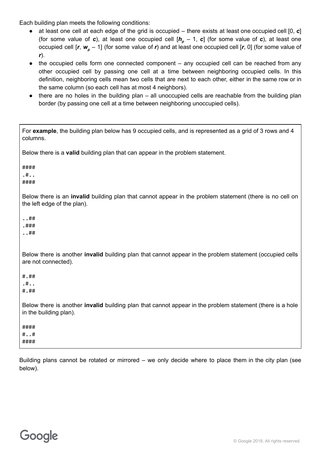Each building plan meets the following conditions:

- at least one cell at each edge of the grid is occupied there exists at least one occupied cell [0, *c*] (for some value of *c*), at least one occupied cell  $[h_p - 1, c]$  (for some value of *c*), at least one occupied cell [*r*, *w<sup>p</sup>* – 1] (for some value of *r*) and at least one occupied cell [*r*, 0] (for some value of *r*).
- the occupied cells form one connected component any occupied cell can be reached from any other occupied cell by passing one cell at a time between neighboring occupied cells. In this definition, neighboring cells mean two cells that are next to each other, either in the same row or in the same column (so each cell has at most 4 neighbors).
- there are no holes in the building plan all unoccupied cells are reachable from the building plan border (by passing one cell at a time between neighboring unoccupied cells).

| For example, the building plan below has 9 occupied cells, and is represented as a grid of 3 rows and 4<br>columns.                            |
|------------------------------------------------------------------------------------------------------------------------------------------------|
| Below there is a valid building plan that can appear in the problem statement.                                                                 |
| ####<br>.#.<br>####                                                                                                                            |
| Below there is an <b>invalid</b> building plan that cannot appear in the problem statement (there is no cell on<br>the left edge of the plan). |
| ##<br>.###<br>##                                                                                                                               |
| Below there is another <b>invalid</b> building plan that cannot appear in the problem statement (occupied cells<br>are not connected).         |
| # . ##<br>. #. .<br># . ##                                                                                                                     |
| Below there is another invalid building plan that cannot appear in the problem statement (there is a hole<br>in the building plan).            |
| ####<br>##<br>####                                                                                                                             |

Building plans cannot be rotated or mirrored – we only decide where to place them in the city plan (see below).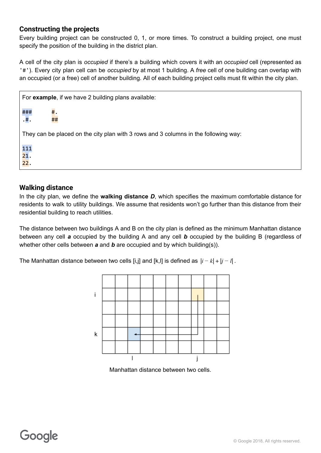#### **Constructing the projects**

Every building project can be constructed 0, 1, or more times. To construct a building project, one must specify the position of the building in the district plan.

A cell of the city plan is *occupied* if there's a building which covers it with an *occupied* cell (represented as '#'). Every city plan cell can be *occupied* by at most 1 building. A *free* cell of one building can overlap with an occupied (or a free) cell of another building. All of each building project cells must fit within the city plan.

|                                                                                     | For example, if we have 2 building plans available: |          |  |
|-------------------------------------------------------------------------------------|-----------------------------------------------------|----------|--|
|                                                                                     | ###<br>.#.                                          | #.<br>## |  |
| They can be placed on the city plan with 3 rows and 3 columns in the following way: |                                                     |          |  |
|                                                                                     | 111<br>21.<br>22.                                   |          |  |

#### **Walking distance**

In the city plan, we define the **walking distance** *D*, which specifies the maximum comfortable distance for residents to walk to utility buildings. We assume that residents won't go further than this distance from their residential building to reach utilities.

The distance between two buildings A and B on the city plan is defined as the minimum Manhattan distance between any cell *a* occupied by the building A and any cell *b* occupied by the building B (regardless of whether other cells between *a* and *b* are occupied and by which building(s)).

The Manhattan distance between two cells [i,j] and [k,l] is defined as |*i* − *k*| + |*j* − *l*| .



Manhattan distance between two cells.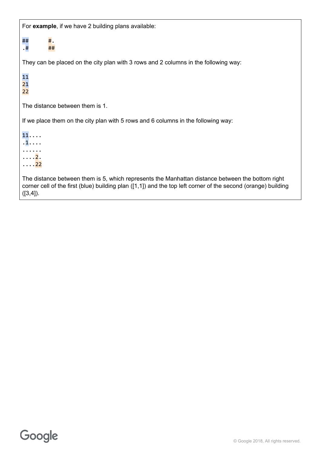For **example**, if we have 2 building plans available:

 $\#$ #  $\#$ . .  $\#$   $\#$   $\#$ They can be placed on the city plan with 3 rows and 2 columns in the following way: 11 21 22 The distance between them is 1. If we place them on the city plan with 5 rows and 6 columns in the following way:  $11 \ldots$  $\overline{1}\cdots$ ...... . . . . <mark>2</mark>.  $\ldots$ . 22 The distance between them is 5, which represents the Manhattan distance between the bottom right corner cell of the first (blue) building plan ([1,1]) and the top left corner of the second (orange) building  $([3,4]).$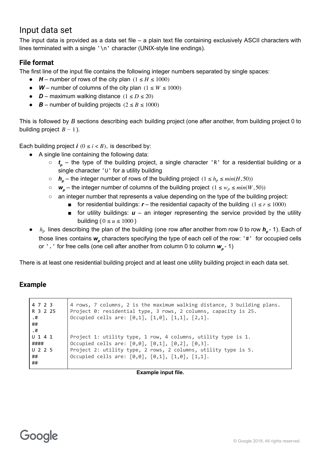## Input data set

The input data is provided as a data set file – a plain text file containing exclusively ASCII characters with lines terminated with a single  $'\n$  character (UNIX-style line endings).

#### **File format**

The first line of the input file contains the following integer numbers separated by single spaces:

- $\bullet$  *H* number of rows of the city plan  $(1 \leq H \leq 1000)$
- $W$  number of columns of the city plan  $(1 \leq W \leq 1000)$
- **•**  $D$  maximum walking distance  $(1 \le D \le 20)$
- **•**  $\mathbf{B}$  number of building projects ( $2 \le B \le 1000$ )

This is followed by *B* sections describing each building project (one after another, from building project 0 to building project  $B - 1$ ).

Each building project  $\mathbf{i}$  ( $0 \leq \mathbf{i} < B$ ), is described by:

- A single line containing the following data:
	- *t<sup>p</sup>* the type of the building project, a single character 'R' for a residential building or a single character 'U' for a utility building
	- $\circ$  *h<sub>p</sub>* the integer number of rows of the building project  $(1 \le h_p \le min(H, 50))$
	- $\circ$  *w<sub>p</sub>* the integer number of columns of the building project  $(1 \le w_p \le min(W, 50))$
	- an integer number that represents a value depending on the type of the building project:
		- for residential buildings:  **the residential capacity of the building**  $(1 \le r \le 1000)$ 
			- $\blacksquare$  for utility buildings:  $\boldsymbol{u}$  an integer representing the service provided by the utility building ( $0 \le u \le 1000$ )
- $h_p$  lines describing the plan of the building (one row after another from row 0 to row  $h_p$  1). Each of those lines contains *w<sup>p</sup>* characters specifying the type of each cell of the row: '#' for occupied cells or '.' for free cells (one cell after another from column 0 to column *w<sup>p</sup>* 1)

There is at least one residential building project and at least one utility building project in each data set.

### **Example**

| 4 7 2 3<br>R 3 2 25<br>.#<br>##<br>.#    | 4 rows, 7 columns, 2 is the maximum walking distance, 3 building plans.<br>Project 0: residential type, 3 rows, 2 columns, capacity is 25.<br>Occupied cells are: [0,1], [1,0], [1,1], [2,1].                                         |
|------------------------------------------|---------------------------------------------------------------------------------------------------------------------------------------------------------------------------------------------------------------------------------------|
| $U$ 141<br>####<br>$U$ 2 2 5<br>##<br>## | Project 1: utility type, 1 row, 4 columns, utility type is 1.<br>Occupied cells are: [0,0], [0,1], [0,2], [0,3].<br>Project 2: utility type, 2 rows, 2 columns, utility type is 5.<br>Occupied cells are: [0,0], [0,1], [1,0], [1,1]. |

**Example input file.**

# Google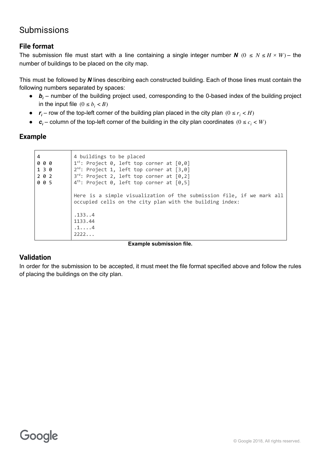## Submissions

#### **File format**

The submission file must start with a line containing a single integer number  $N$  ( $0 \le N \le H \times W$ ) – the number of buildings to be placed on the city map.

This must be followed by *N* lines describing each constructed building. Each of those lines must contain the following numbers separated by spaces:

- $\bullet$  *b<sub>i</sub>* number of the building project used, corresponding to the 0-based index of the building project in the input file  $(0 \le b_i < B)$
- $r_i$  row of the top-left corner of the building plan placed in the city plan  $(0 \le r_i < H)$
- $c_i$  column of the top-left corner of the building in the city plan coordinates  $(0 \le c_i < W)$

#### **Example**

| 4<br>000<br>1 3 0<br>2 0 2<br>005 | 4 buildings to be placed<br>$1^{st}$ : Project 0, left top corner at $[0,0]$<br>$2^{nd}$ : Project 1, left top corner at $[3, 0]$<br>3rd: Project 2, left top corner at [0,2]<br>$4th$ : Project 0, left top corner at $[0,5]$ |
|-----------------------------------|--------------------------------------------------------------------------------------------------------------------------------------------------------------------------------------------------------------------------------|
|                                   | Here is a simple visualization of the submission file, if we mark all<br>occupied cells on the city plan with the building index:                                                                                              |
|                                   | .1334<br>1133.44<br>$.1. \ldots .4$<br>2222                                                                                                                                                                                    |

#### **Example submission file.**

#### **Validation**

In order for the submission to be accepted, it must meet the file format specified above and follow the rules of placing the buildings on the city plan.